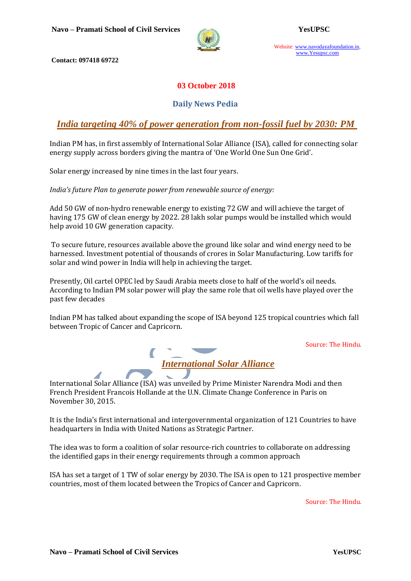

Website: www.navodayafoundation.in, www.Yesupsc.com

**Contact: 097418 69722**

#### **03 October 2018**

#### **Daily News Pedia**

#### *India targeting 40% of power generation from non-fossil fuel by 2030: PM*

Indian PM has, in first assembly of International Solar Alliance (ISA), called for connecting solar energy supply across borders giving the mantra of 'One World One Sun One Grid'.

Solar energy increased by nine times in the last four years.

*India's future Plan to generate power from renewable source of energy:*

Add 50 GW of non-hydro renewable energy to existing 72 GW and will achieve the target of having 175 GW of clean energy by 2022. 28 lakh solar pumps would be installed which would help avoid 10 GW generation capacity.

To secure future, resources available above the ground like solar and wind energy need to be harnessed. Investment potential of thousands of crores in Solar Manufacturing. Low tariffs for solar and wind power in India will help in achieving the target.

Presently, Oil cartel OPEC led by Saudi Arabia meets close to half of the world's oil needs. According to Indian PM solar power will play the same role that oil wells have played over the past few decades

Indian PM has talked about expanding the scope of ISA beyond 125 tropical countries which fall between Tropic of Cancer and Capricorn.

Source: The Hindu.



International Solar Alliance (ISA) was unveiled by Prime Minister Narendra Modi and then French President Francois Hollande at the U.N. Climate Change Conference in Paris on November 30, 2015.

It is the India's first international and intergovernmental organization of 121 Countries to have headquarters in India with United Nations as Strategic Partner.

The idea was to form a coalition of solar resource-rich countries to collaborate on addressing the identified gaps in their energy requirements through a common approach

ISA has set a target of 1 TW of solar energy by 2030. The ISA is open to 121 prospective member countries, most of them located between the Tropics of Cancer and Capricorn.

Source: The Hindu.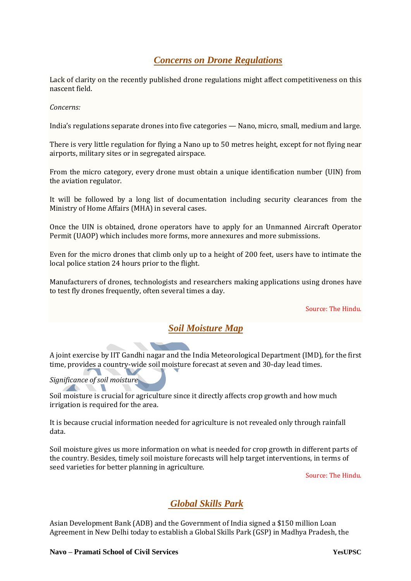# *Concerns on Drone Regulations*

Lack of clarity on the recently published drone regulations might affect competitiveness on this nascent field.

*Concerns:* 

India's regulations separate drones into five categories — Nano, micro, small, medium and large.

There is very little regulation for flying a Nano up to 50 metres height, except for not flying near airports, military sites or in segregated airspace.

From the micro category, every drone must obtain a unique identification number (UIN) from the aviation regulator.

It will be followed by a long list of documentation including security clearances from the Ministry of Home Affairs (MHA) in several cases.

Once the UIN is obtained, drone operators have to apply for an Unmanned Aircraft Operator Permit (UAOP) which includes more forms, more annexures and more submissions.

Even for the micro drones that climb only up to a height of 200 feet, users have to intimate the local police station 24 hours prior to the flight.

Manufacturers of drones, technologists and researchers making applications using drones have to test fly drones frequently, often several times a day.

Source: The Hindu.

# *Soil Moisture Map*

A joint exercise by IIT Gandhi nagar and the India Meteorological Department (IMD)*,* for the first time, provides a country-wide soil moisture forecast at seven and 30-day lead times.

#### *Significance of soil moisture*

Soil moisture is crucial for agriculture since it directly affects crop growth and how much irrigation is required for the area.

It is because crucial information needed for agriculture is not revealed only through rainfall data.

Soil moisture gives us more information on what is needed for crop growth in different parts of the country. Besides, timely soil moisture forecasts will help target interventions, in terms of seed varieties for better planning in agriculture.

Source: The Hindu.

# *Global Skills Park*

Asian Development Bank (ADB) and the Government of India signed a \$150 million Loan Agreement in New Delhi today to establish a Global Skills Park (GSP) in Madhya Pradesh, the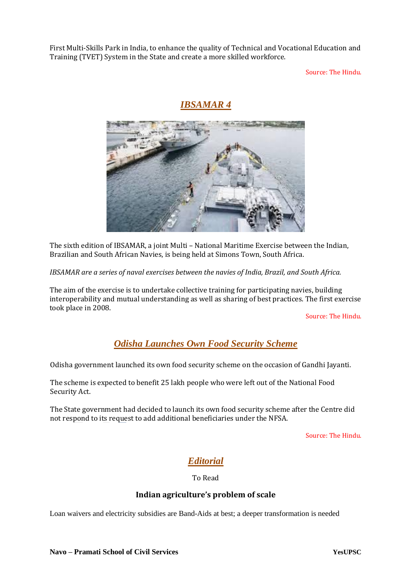First Multi-Skills Park in India, to enhance the quality of Technical and Vocational Education and Training (TVET) System in the State and create a more skilled workforce.

Source: The Hindu.

### *IBSAMAR 4*



The sixth edition of IBSAMAR, a joint Multi – National Maritime Exercise between the Indian, Brazilian and South African Navies, is being held at Simons Town, South Africa.

*IBSAMAR are a series of naval exercises between the navies of India, Brazil, and South Africa.*

The aim of the exercise is to undertake collective training for participating navies, building interoperability and mutual understanding as well as sharing of best practices. The first exercise took place in 2008.

Source: The Hindu.

# *Odisha Launches Own Food Security Scheme*

Odisha government launched its own food security scheme on the occasion of Gandhi Jayanti.

The scheme is expected to benefit 25 lakh people who were left out of the National Food Security Act.

The State government had decided to launch its own food security scheme after the Centre did not respond to its request to add additional beneficiaries under the NFSA.

Source: The Hindu.

# *Editorial*

To Read

#### **Indian agriculture's problem of scale**

Loan waivers and electricity subsidies are Band-Aids at best; a deeper transformation is needed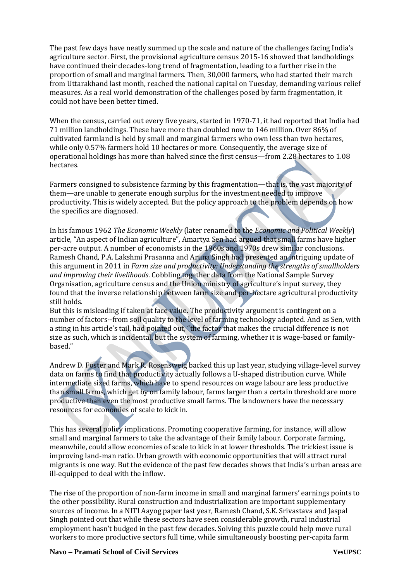The past few days have neatly summed up the scale and nature of the challenges facing India's agriculture sector. First, the provisional agriculture census 2015-16 showed that landholdings have continued their decades-long trend of fragmentation, leading to a further rise in the proportion of small and marginal farmers. Then, 30,000 farmers, who had started their march from Uttarakhand last month, reached the national capital on Tuesday, demanding various relief measures. As a real world demonstration of the challenges posed by farm fragmentation, it could not have been better timed.

When the census, carried out every five years, started in 1970-71, it had reported that India had 71 million landholdings. These have more than doubled now to 146 million. Over 86% of cultivated farmland is held by small and marginal farmers who own less than two hectares, while only 0.57% farmers hold 10 hectares or more. Consequently, the average size of operational holdings has more than halved since the first census—from 2.28 hectares to 1.08 hectares.

Farmers consigned to subsistence farming by this fragmentation—that is, the vast majority of them—are unable to generate enough surplus for the investment needed to improve productivity. This is widely accepted. But the policy approach to the problem depends on how the specifics are diagnosed.

In his famous 1962 *The Economic Weekly* (later renamed to the *Economic and Political Weekly*) article, "An aspect of Indian agriculture", Amartya Sen had argued that small farms have higher per-acre output. A number of economists in the 1960s and 1970s drew similar conclusions. Ramesh Chand, P.A. Lakshmi Prasanna and Aruna Singh had presented an intriguing update of this argument in 2011 in *Farm size and productivity: Understanding the strengths of smallholders and improving their livelihoods*. Cobbling together data from the National Sample Survey Organisation, agriculture census and the Union ministry of agriculture's input survey, they found that the inverse relationship between farm size and per-hectare agricultural productivity still holds.

But this is misleading if taken at face value. The productivity argument is contingent on a number of factors--from soil quality to the level of farming technology adopted. And as Sen, with a sting in his article's tail, had pointed out, "the factor that makes the crucial difference is not size as such, which is incidental, but the system of farming, whether it is wage-based or familybased."

Andrew D. Foster and Mark R. Rosensweig backed this up last year, studying village-level survey data on farms to find that productivity actually follows a U-shaped distribution curve. While intermediate sized farms, which have to spend resources on wage labour are less productive than small farms, which get by on family labour, farms larger than a certain threshold are more productive than even the most productive small farms. The landowners have the necessary resources for economies of scale to kick in.

This has several policy implications. Promoting cooperative farming, for instance, will allow small and marginal farmers to take the advantage of their family labour. Corporate farming, meanwhile, could allow economies of scale to kick in at lower thresholds. The trickiest issue is improving land-man ratio. Urban growth with economic opportunities that will attract rural migrants is one way. But the evidence of the past few decades shows that India's urban areas are ill-equipped to deal with the inflow.

The rise of the proportion of non-farm income in small and marginal farmers' earnings points to the other possibility. Rural construction and industrialization are important supplementary sources of income. In a NITI Aayog paper last year, Ramesh Chand, S.K. Srivastava and Jaspal Singh pointed out that while these sectors have seen considerable growth, rural industrial employment hasn't budged in the past few decades. Solving this puzzle could help move rural workers to more productive sectors full time, while simultaneously boosting per-capita farm